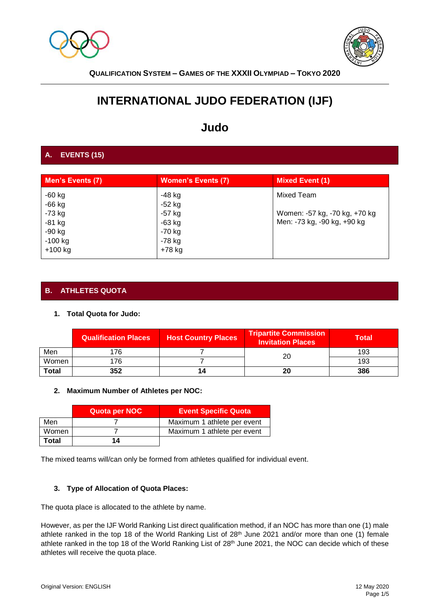



# **INTERNATIONAL JUDO FEDERATION (IJF)**

# **Judo**

# **A. EVENTS (15)**

| Men's Events (7) | <b>Women's Events (7)</b> | <b>Mixed Event (1)</b>        |
|------------------|---------------------------|-------------------------------|
| $-60$ kg         | -48 kg                    | Mixed Team                    |
| $-66$ kg         | $-52$ kg                  |                               |
| $-73$ kg         | $-57$ kg                  | Women: -57 kg, -70 kg, +70 kg |
| $-81$ kg         | $-63$ kg                  | Men: -73 kg, -90 kg, +90 kg   |
| $-90$ kg         | $-70$ kg                  |                               |
| $-100$ kg        | $-78$ kg                  |                               |
| $+100$ kg        | +78 kg                    |                               |

# **B. ATHLETES QUOTA**

## **1. Total Quota for Judo:**

|              | <b>Qualification Places</b> | <b>Host Country Places</b> | Tripartite Commission<br><b>Invitation Places</b> | Total |
|--------------|-----------------------------|----------------------------|---------------------------------------------------|-------|
| Men          | 176                         |                            | 20                                                | 193   |
| Women        | 176                         |                            |                                                   | 193   |
| <b>Total</b> | 352                         | 14                         | 20                                                | 386   |

## **2. Maximum Number of Athletes per NOC:**

|       | Quota per NOC | <b>Event Specific Quota</b> |
|-------|---------------|-----------------------------|
| Men   |               | Maximum 1 athlete per event |
| Women |               | Maximum 1 athlete per event |
| Total | 14            |                             |

The mixed teams will/can only be formed from athletes qualified for individual event.

## **3. Type of Allocation of Quota Places:**

The quota place is allocated to the athlete by name.

However, as per the IJF World Ranking List direct qualification method, if an NOC has more than one (1) male athlete ranked in the top 18 of the World Ranking List of 28<sup>th</sup> June 2021 and/or more than one (1) female athlete ranked in the top 18 of the World Ranking List of 28th June 2021, the NOC can decide which of these athletes will receive the quota place.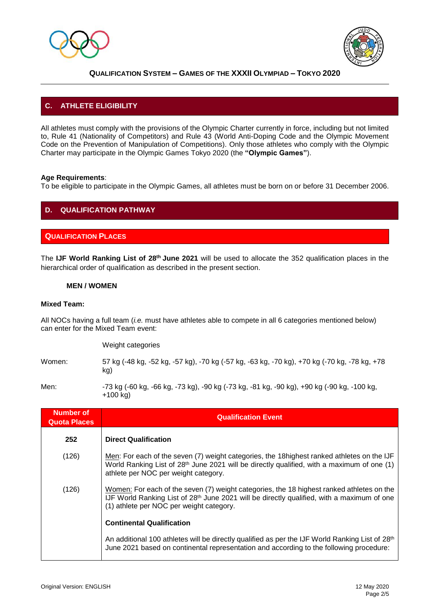



# **C. ATHLETE ELIGIBILITY**

All athletes must comply with the provisions of the Olympic Charter currently in force, including but not limited to, Rule 41 (Nationality of Competitors) and Rule 43 (World Anti-Doping Code and the Olympic Movement Code on the Prevention of Manipulation of Competitions). Only those athletes who comply with the Olympic Charter may participate in the Olympic Games Tokyo 2020 (the **"Olympic Games"**).

#### **Age Requirements**:

To be eligible to participate in the Olympic Games, all athletes must be born on or before 31 December 2006.

# **D. QUALIFICATION PATHWAY**

#### **QUALIFICATION PLACES**

The **IJF World Ranking List of 28th June 2021** will be used to allocate the 352 qualification places in the hierarchical order of qualification as described in the present section.

#### **MEN / WOMEN**

#### **Mixed Team:**

All NOCs having a full team (*i.e.* must have athletes able to compete in all 6 categories mentioned below) can enter for the Mixed Team event:

Weight categories

Women: 57 kg (-48 kg, -52 kg, -57 kg), -70 kg (-57 kg, -63 kg, -70 kg), +70 kg (-70 kg, -78 kg, +78 kg)

Men: -73 kg (-60 kg, -66 kg, -73 kg), -90 kg (-73 kg, -81 kg, -90 kg), +90 kg (-90 kg, -100 kg, +100 kg)

| <b>Number of</b><br><b>Quota Places</b> | <b>Qualification Event</b>                                                                                                                                                                                                                      |
|-----------------------------------------|-------------------------------------------------------------------------------------------------------------------------------------------------------------------------------------------------------------------------------------------------|
| 252                                     | <b>Direct Qualification</b>                                                                                                                                                                                                                     |
| (126)                                   | Men: For each of the seven (7) weight categories, the 18 highest ranked athletes on the IJF<br>World Ranking List of 28 <sup>th</sup> June 2021 will be directly qualified, with a maximum of one (1)<br>athlete per NOC per weight category.   |
| (126)                                   | Women: For each of the seven (7) weight categories, the 18 highest ranked athletes on the<br>IJF World Ranking List of 28 <sup>th</sup> June 2021 will be directly qualified, with a maximum of one<br>(1) athlete per NOC per weight category. |
|                                         | <b>Continental Qualification</b>                                                                                                                                                                                                                |
|                                         | An additional 100 athletes will be directly qualified as per the IJF World Ranking List of 28 <sup>th</sup><br>June 2021 based on continental representation and according to the following procedure:                                          |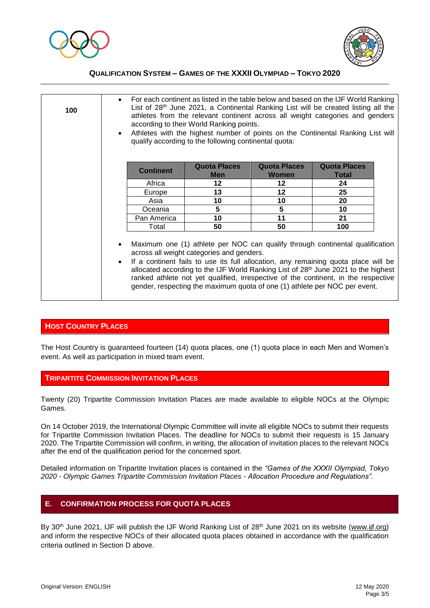



| 100 | $\bullet$<br>$\bullet$ | For each continent as listed in the table below and based on the IJF World Ranking<br>List of $28th$ June 2021, a Continental Ranking List will be created listing all the<br>athletes from the relevant continent across all weight categories and genders<br>according to their World Ranking points.<br>Athletes with the highest number of points on the Continental Ranking List will<br>qualify according to the following continental quota: |                                                                                                                                                                                                                                                                                                                                                                                                                                                                                        |                                     |                              |  |
|-----|------------------------|-----------------------------------------------------------------------------------------------------------------------------------------------------------------------------------------------------------------------------------------------------------------------------------------------------------------------------------------------------------------------------------------------------------------------------------------------------|----------------------------------------------------------------------------------------------------------------------------------------------------------------------------------------------------------------------------------------------------------------------------------------------------------------------------------------------------------------------------------------------------------------------------------------------------------------------------------------|-------------------------------------|------------------------------|--|
|     |                        | <b>Continent</b>                                                                                                                                                                                                                                                                                                                                                                                                                                    | <b>Quota Places</b><br><b>Men</b>                                                                                                                                                                                                                                                                                                                                                                                                                                                      | <b>Quota Places</b><br><b>Women</b> | <b>Quota Places</b><br>Total |  |
|     |                        | Africa                                                                                                                                                                                                                                                                                                                                                                                                                                              | $12 \,$                                                                                                                                                                                                                                                                                                                                                                                                                                                                                | 12                                  | 24                           |  |
|     |                        | Europe                                                                                                                                                                                                                                                                                                                                                                                                                                              | 13                                                                                                                                                                                                                                                                                                                                                                                                                                                                                     | 12                                  | 25                           |  |
|     |                        | Asia                                                                                                                                                                                                                                                                                                                                                                                                                                                | 10                                                                                                                                                                                                                                                                                                                                                                                                                                                                                     | 10                                  | 20                           |  |
|     |                        | Oceania                                                                                                                                                                                                                                                                                                                                                                                                                                             | 5                                                                                                                                                                                                                                                                                                                                                                                                                                                                                      | 5                                   | 10                           |  |
|     |                        | Pan America                                                                                                                                                                                                                                                                                                                                                                                                                                         | 10                                                                                                                                                                                                                                                                                                                                                                                                                                                                                     | 11                                  | 21                           |  |
|     |                        | Total                                                                                                                                                                                                                                                                                                                                                                                                                                               | 50                                                                                                                                                                                                                                                                                                                                                                                                                                                                                     | 50                                  | 100                          |  |
|     | $\bullet$<br>$\bullet$ |                                                                                                                                                                                                                                                                                                                                                                                                                                                     | Maximum one (1) athlete per NOC can qualify through continental qualification<br>across all weight categories and genders.<br>If a continent fails to use its full allocation, any remaining quota place will be<br>allocated according to the IJF World Ranking List of 28 <sup>th</sup> June 2021 to the highest<br>ranked athlete not yet qualified, irrespective of the continent, in the respective<br>gender, respecting the maximum quota of one (1) athlete per NOC per event. |                                     |                              |  |

#### **HOST COUNTRY PLACES**

The Host Country is guaranteed fourteen (14) quota places, one (1) quota place in each Men and Women's event. As well as participation in mixed team event.

#### **TRIPARTITE COMMISSION INVITATION PLACES**

Twenty (20) Tripartite Commission Invitation Places are made available to eligible NOCs at the Olympic Games.

On 14 October 2019, the International Olympic Committee will invite all eligible NOCs to submit their requests for Tripartite Commission Invitation Places. The deadline for NOCs to submit their requests is 15 January 2020. The Tripartite Commission will confirm, in writing, the allocation of invitation places to the relevant NOCs after the end of the qualification period for the concerned sport.

Detailed information on Tripartite Invitation places is contained in the *"Games of the XXXII Olympiad, Tokyo 2020 - Olympic Games Tripartite Commission Invitation Places - Allocation Procedure and Regulations".*

#### **E. CONFIRMATION PROCESS FOR QUOTA PLACES**

By 30<sup>th</sup> June 2021, IJF will publish the IJF World Ranking List of 28<sup>th</sup> June 2021 on its website [\(www.ijf.org\)](http://www.ijf.org/) and inform the respective NOCs of their allocated quota places obtained in accordance with the qualification criteria outlined in Section D above.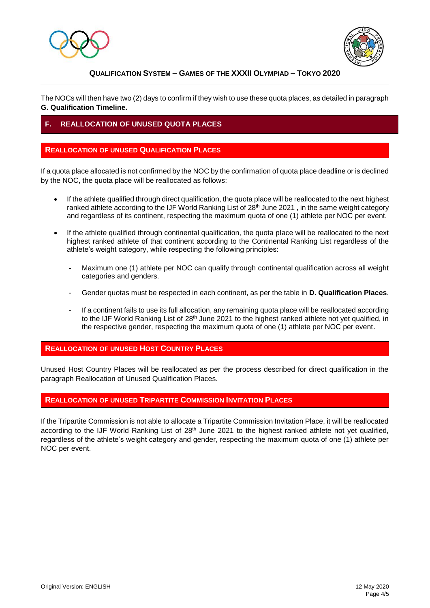



The NOCs will then have two (2) days to confirm if they wish to use these quota places, as detailed in paragraph **G. Qualification Timeline.**

## **F. REALLOCATION OF UNUSED QUOTA PLACES**

#### **REALLOCATION OF UNUSED QUALIFICATION PLACES**

If a quota place allocated is not confirmed by the NOC by the confirmation of quota place deadline or is declined by the NOC, the quota place will be reallocated as follows:

- If the athlete qualified through direct qualification, the quota place will be reallocated to the next highest ranked athlete according to the IJF World Ranking List of 28<sup>th</sup> June 2021, in the same weight category and regardless of its continent, respecting the maximum quota of one (1) athlete per NOC per event.
- If the athlete qualified through continental qualification, the quota place will be reallocated to the next highest ranked athlete of that continent according to the Continental Ranking List regardless of the athlete's weight category, while respecting the following principles:
	- Maximum one (1) athlete per NOC can qualify through continental qualification across all weight categories and genders.
	- Gender quotas must be respected in each continent, as per the table in **D. Qualification Places**.
	- If a continent fails to use its full allocation, any remaining quota place will be reallocated according to the IJF World Ranking List of 28<sup>th</sup> June 2021 to the highest ranked athlete not yet qualified, in the respective gender, respecting the maximum quota of one (1) athlete per NOC per event.

#### **REALLOCATION OF UNUSED HOST COUNTRY PLACES**

Unused Host Country Places will be reallocated as per the process described for direct qualification in the paragraph Reallocation of Unused Qualification Places.

### **REALLOCATION OF UNUSED TRIPARTITE COMMISSION INVITATION PLACES**

If the Tripartite Commission is not able to allocate a Tripartite Commission Invitation Place, it will be reallocated according to the IJF World Ranking List of 28<sup>th</sup> June 2021 to the highest ranked athlete not yet qualified, regardless of the athlete's weight category and gender, respecting the maximum quota of one (1) athlete per NOC per event.